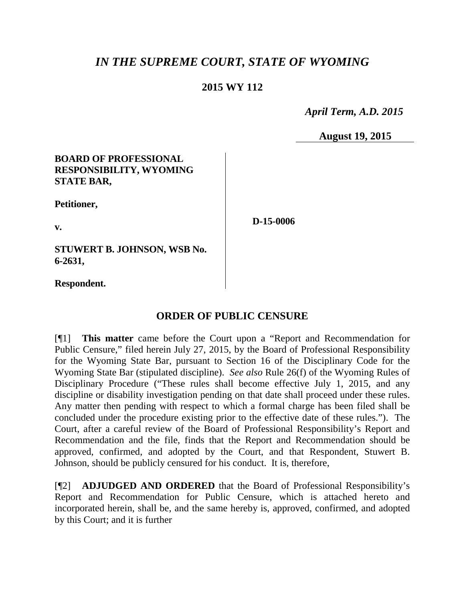# *IN THE SUPREME COURT, STATE OF WYOMING*

## **2015 WY 112**

 *April Term, A.D. 2015*

**August 19, 2015**

### **BOARD OF PROFESSIONAL RESPONSIBILITY, WYOMING STATE BAR,**

**Petitioner,**

**v.**

**D-15-0006**

**STUWERT B. JOHNSON, WSB No. 6-2631,**

**Respondent.**

## **ORDER OF PUBLIC CENSURE**

[¶1] **This matter** came before the Court upon a "Report and Recommendation for Public Censure," filed herein July 27, 2015, by the Board of Professional Responsibility for the Wyoming State Bar, pursuant to Section 16 of the Disciplinary Code for the Wyoming State Bar (stipulated discipline). *See also* Rule 26(f) of the Wyoming Rules of Disciplinary Procedure ("These rules shall become effective July 1, 2015, and any discipline or disability investigation pending on that date shall proceed under these rules. Any matter then pending with respect to which a formal charge has been filed shall be concluded under the procedure existing prior to the effective date of these rules."). The Court, after a careful review of the Board of Professional Responsibility's Report and Recommendation and the file, finds that the Report and Recommendation should be approved, confirmed, and adopted by the Court, and that Respondent, Stuwert B. Johnson, should be publicly censured for his conduct. It is, therefore,

[¶2] **ADJUDGED AND ORDERED** that the Board of Professional Responsibility's Report and Recommendation for Public Censure, which is attached hereto and incorporated herein, shall be, and the same hereby is, approved, confirmed, and adopted by this Court; and it is further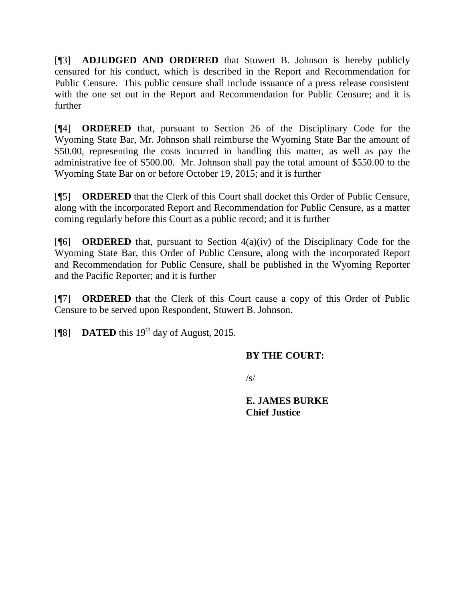[¶3] **ADJUDGED AND ORDERED** that Stuwert B. Johnson is hereby publicly censured for his conduct, which is described in the Report and Recommendation for Public Censure. This public censure shall include issuance of a press release consistent with the one set out in the Report and Recommendation for Public Censure; and it is further

[¶4] **ORDERED** that, pursuant to Section 26 of the Disciplinary Code for the Wyoming State Bar, Mr. Johnson shall reimburse the Wyoming State Bar the amount of \$50.00, representing the costs incurred in handling this matter, as well as pay the administrative fee of \$500.00. Mr. Johnson shall pay the total amount of \$550.00 to the Wyoming State Bar on or before October 19, 2015; and it is further

[¶5] **ORDERED** that the Clerk of this Court shall docket this Order of Public Censure, along with the incorporated Report and Recommendation for Public Censure, as a matter coming regularly before this Court as a public record; and it is further

[¶6] **ORDERED** that, pursuant to Section 4(a)(iv) of the Disciplinary Code for the Wyoming State Bar, this Order of Public Censure, along with the incorporated Report and Recommendation for Public Censure, shall be published in the Wyoming Reporter and the Pacific Reporter; and it is further

[¶7] **ORDERED** that the Clerk of this Court cause a copy of this Order of Public Censure to be served upon Respondent, Stuwert B. Johnson.

[ $\degree$ [8] **DATED** this 19<sup>th</sup> day of August, 2015.

## **BY THE COURT:**

 $\sqrt{s}$ 

**E. JAMES BURKE Chief Justice**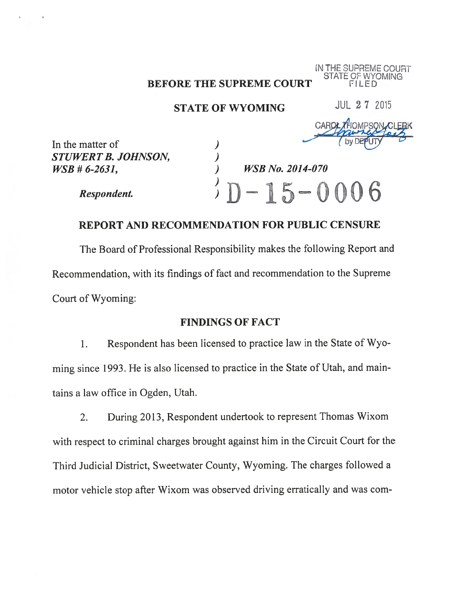# BEFORE THE SUPREME COURT FILED

# STATE OF WYOMING JUL 2 7 2015

HE SUPREME STATE OF WYOMING

CAROL 7HOMPSON CLER

In the matter of STUWERT B. JOHNSON, (a)<br>
WSB # 6-2631,

Respondent.

### REPORT AND RECOMMENDATION FOR PUBLIC CENSURE

**WSB No. 2014-070** 

 $-15 - 0006$ 

The Board of Professional Responsibility makes the following Report and Recommendation, with its findings of fact and recommendation to the Supreme Court of Wyoming:

## FINDINGS OF FACT

1. Respondent has been licensed to practice law in the State of Wyo ming since 1993. He is also licensed to practice in the State of Utah, and main tains a law office in Ogden, Utah.

2. During 2013, Respondent undertook to represent Thomas Wixom with respect to criminal charges brought against him in the Circuit Court for the Third Judicial District, Sweetwater County, Wyoming. The charges followed a motor vehicle stop after Wixom was observed driving erratically and was com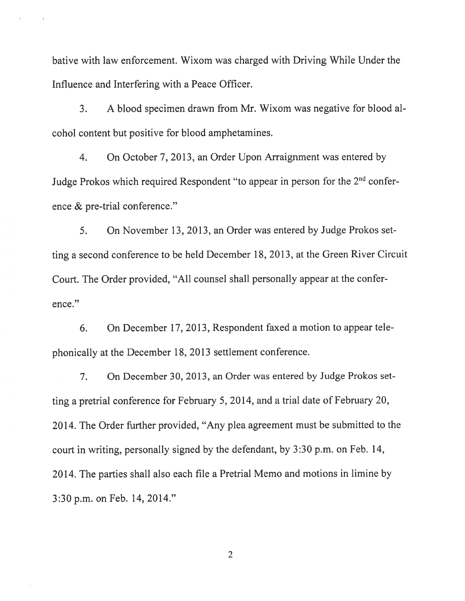bative with law enforcement. Wixom was charged with Driving While Under the Influence and Interfering with a Peace Officer.

3. <sup>A</sup> blood specimen drawn from Mr. Wixom was negative for blood al cohol content but positive for blood amphetamines.

4. On October 7, 2013, an Order Upon Arraignment was entered by Judge Prokos which required Respondent "to appear in person for the 2<sup>nd</sup> conference & pre-trial conference."

5. On November 13, 2013, an Order was entered by Judge Prokos set ting a second conference to be held December 18, 2013, at the Green River Circuit Court. The Order provided, "All counsel shall personally appear at the confer ence."

6. On December 17, 2013, Respondent faxed <sup>a</sup> motion to appear tele phonically at the December 18, 2013 settlement conference.

7. On December 30, 2013, an Order was entered by Judge Prokos set ting a pretrial conference for February 5, 2014, and a trial date of February 20, 2014. The Order further provided, "Any plea agreement must be submitted to the court in writing, personally signed by the defendant, by 3:30 p.m. on Feb. 14, 2014. The parties shall also each file a Pretrial Memo and motions in limine by 3:30 p.m. on Feb. 14, 2014."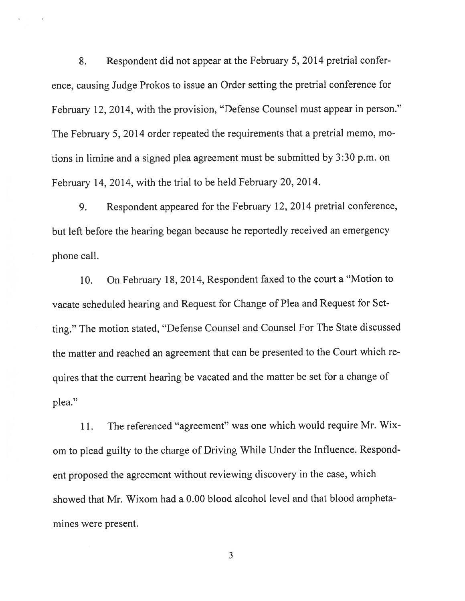8. Respondent did not appear at the February 5, 2014 pretrial confer ence, causing Judge Prokos to issue an Order setting the pretrial conference for February 12, 2014, with the provision, "Defense Counsel must appear in person." The February 5, 2014 order repeated the requirements that <sup>a</sup> pretrial memo, mo tions in limine and a signed plea agreement must be submitted by 3:30 p.m. on February 14, 2014, with the trial to be held February 20, 2014.

9. Respondent appeared for the February 12, 2014 pretrial conference, but left before the hearing began because he reportedly received an emergency phone call.

10. On February 18, 2014, Respondent faxed to the court a "Motion to vacate scheduled hearing and Request for Change of Plea and Request for Set ting." The motion stated, "Defense Counsel and Counsel For The State discussed the matter and reached an agreement that can be presented to the Court which re quires that the current hearing be vacated and the matter be set for a change of plea."

11. The referenced "agreement" was one which would require Mr. Wix om to plead guilty to the charge of Driving While Under the Influence. Respond ent proposed the agreement without reviewing discovery in the case, which showed that Mr. Wixom had a 0.00 blood alcohol level and that blood ampheta mines were present.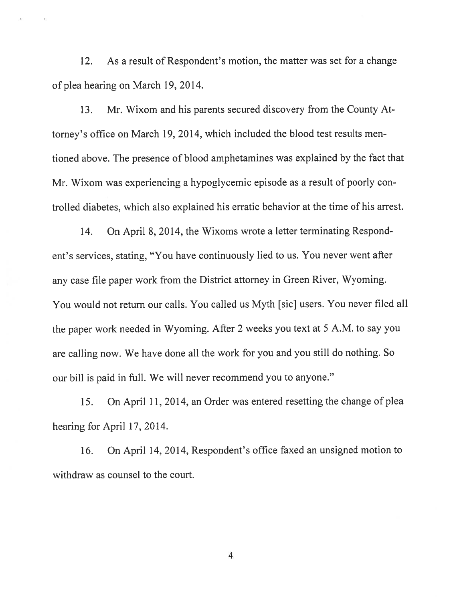12. As a result of Respondent's motion, the matter was set for a change of plea hearing on March 19, 2014.

13. Mr. Wixom and his parents secured discovery from the County At torney's office on March 19, 2014, which included the blood test results men tioned above. The presence of blood amphetamines was explained by the fact that Mr. Wixom was experiencing a hypoglycemic episode as a result of poorly con trolled diabetes, which also explained his erratic behavior at the time of his arrest.

14. On April 8, 2014, the Wixoms wrote a letter terminating Respond ent's services, stating, "You have continuously lied to us. You never went after any case file paper work from the District attorney in Green River, Wyoming. You would not return our calls. You called us Myth [sic] users. You never filed all the paper work needed in Wyoming. After 2 weeks you text at <sup>5</sup> A.M. to say you are calling now. We have done all the work for you and you still do nothing. So our bill is paid in full. We will never recommend you to anyone."

15. On April 11, 2014, an Order was entered resetting the change of plea hearing for April 17, 2014.

16. On April 14, 2014, Respondent's office faxed an unsigned motion to withdraw as counsel to the court.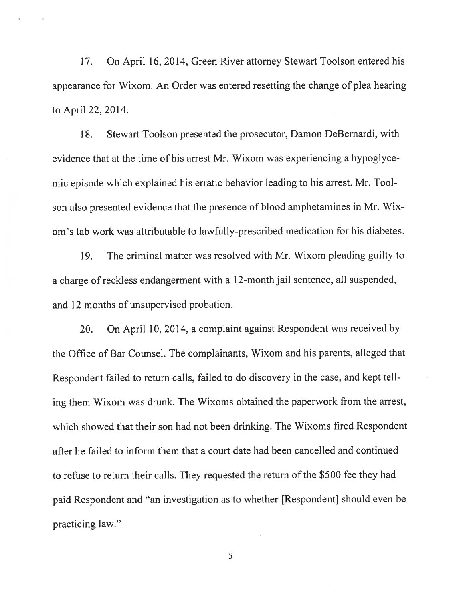17. On April 16, 2014, Green River attorney Stewart Toolson entered his appearance for Wixom. An Order was entered resetting the change of plea hearing to April 22, 2014.

18. Stewart Toolson presented the prosecutor, Damon DeBernardi, with evidence that at the time of his arrest Mr. Wixom was experiencing a hypoglyce mic episode which explained his erratic behavior leading to his arrest. Mr. Toolson also presented evidence that the presence of blood amphetamines in Mr. Wix om's lab work was attributable to lawfully-prescribed medication for his diabetes.

19. The criminal matter was resolved with Mr. Wixom pleading guilty to a charge of reckless endangerment with a 12-month jail sentence, all suspended, and 12 months of unsupervised probation.

20. On April 10, 2014, a complaint against Respondent was received by the Office of Bar Counsel. The complainants, Wixom and his parents, alleged that Respondent failed to return calls, failed to do discovery in the case, and kept tell ing them Wixom was drunk. The Wixoms obtained the paperwork from the arrest, which showed that their son had not been drinking. The Wixoms fired Respondent after he failed to inform them that a court date had been cancelled and continued to refuse to return their calls. They requested the return of the \$500 fee they had paid Respondent and "an investigation as to whether [Respondent] should even be practicing law."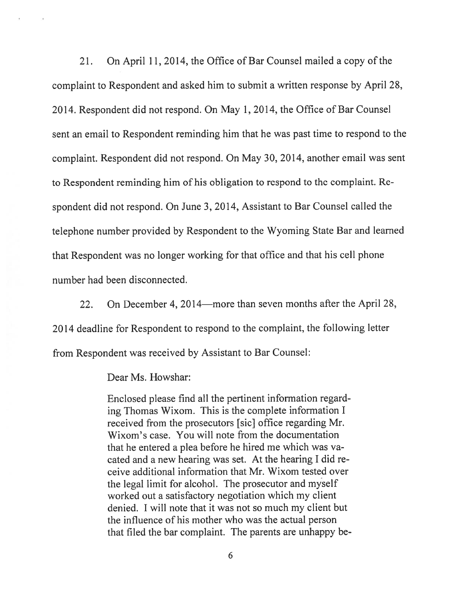21. On April 11, 2014, the Office of Bar Counsel mailed a copy of the complaint to Respondent and asked him to submit a written response by April 2\$, 2014. Respondent did not respond. On May 1, 2014, the Office of Bar Counsel sent an email to Respondent reminding him that he was past time to respond to the complaint. Respondent did not respond. On May 30, 2014, another email was sent to Respondent reminding him of his obligation to respond to the complaint. Re spondent did not respond. On June 3, 2014, Assistant to Bar Counsel called the telephone number provided by Respondent to the Wyoming State Bar and learned that Respondent was no longer working for that office and that his cell phone number had been disconnected.

22. On December 4, 2014—more than seven months after the April 28, 2014 deadline for Respondent to respond to the complaint, the following letter from Respondent was received by Assistant to Bar Counsel:

Dear Ms. Howshar:

Enclosed please find all the pertinent information regard ing Thomas Wixom. This is the complete information <sup>I</sup> received from the prosecutors [sic] office regarding Mr. Wixom's case. You will note from the documentation that he entered <sup>a</sup> plea before he hired me which was va cated and <sup>a</sup> new hearing was set. At the hearing <sup>I</sup> did re ceive additional information that Mr. Wixom tested over the legal limit for alcohol. The prosecutor and myself worked out a satisfactory negotiation which my client denied. <sup>I</sup> will note that it was not so much my client but the influence of his mother who was the actual person that filed the bar complaint. The parents are unhappy be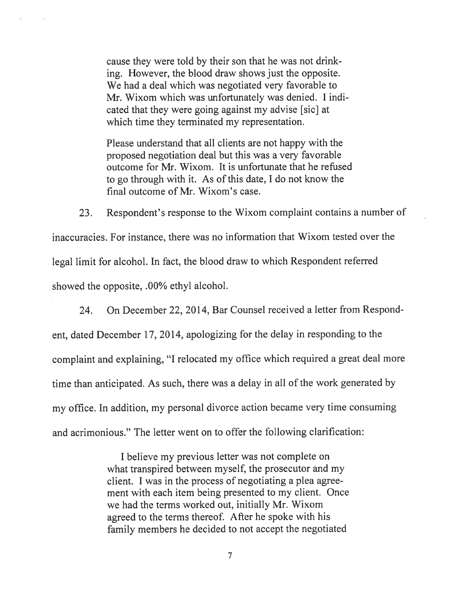cause they were told by their son that he was not drink ing. However, the blood draw shows just the opposite. We had a deal which was negotiated very favorable to Mr. Wixom which was unfortunately was denied. <sup>I</sup> indi cated that they were going against my advise [sic] at which time they terminated my representation.

Please understand that all clients are not happy with the proposed negotiation deal but this was a very favorable outcome for Mr. Wixom. It is unfortunate that he refused to go through with it. As of this date, <sup>I</sup> do not know the final outcome of Mr. Wixom's case.

23. Respondent's response to the Wixom complaint contains a number of inaccuracies. For instance, there was no information that Wixom tested over the legal limit for alcohol. In fact, the blood draw to which Respondent referred showed the opposite, .00% ethyl alcohol.

24. On December 22, 2014, Bar Counsel received a letter from Respond ent, dated December 17, 2014, apologizing for the delay in responding to the complaint and explaining, "I relocated my office which required a great deal more time than anticipated. As such, there was a delay in all of the work generated by my office. In addition, my personal divorce action became very time consuming and acrimonious." The letter went on to offer the following clarification:

> I believe my previous letter was not complete on what transpired between myself, the prosecutor and my client. <sup>I</sup> was in the process of negotiating a plea agree ment with each item being presented to my client. Once we had the terms worked out, initially Mr. Wixom agreed to the terms thereof. After he spoke with his family members he decided to not accept the negotiated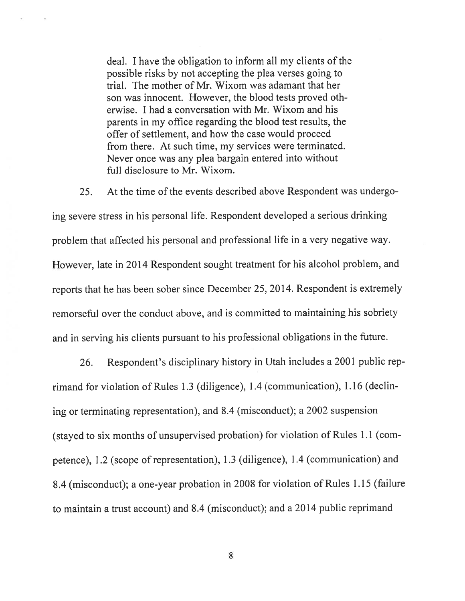deal. <sup>I</sup> have the obligation to inform all my clients of the possible risks by not accepting the plea verses going to trial. The mother of Mr. Wixom was adamant that her son was innocent. However, the blood tests proved oth erwise. I had a conversation with Mr. Wixom and his parents in my office regarding the blood test results, the offer of settlement, and how the case would proceed from there. At such time, my services were terminated. Never once was any plea bargain entered into without full disclosure to Mr. Wixom.

25. At the time of the events described above Respondent was undergo ing severe stress in his personal life. Respondent developed a serious drinking problem that affected his personal and professional life in a very negative way. However, late in 2014 Respondent sought treatment for his alcohol problem, and reports that he has been sober since December 25, 2014. Respondent is extremely remorseful over the conduct above, and is committed to maintaining his sobriety and in serving his clients pursuant to his professional obligations in the future.

26. Respondent's disciplinary history in Utah includes <sup>a</sup> 2001 public rep rimand for violation of Rules 1.3 (diligence), 1.4 (communication), 1.16 (declin ing or terminating representation), and 8.4 (misconduct); a 2002 suspension (stayed to six months of unsupervised probation) for violation of Rules 1.1 (com petence), 1.2 (scope of representation), 1.3 (diligence), 1.4 (communication) and 8.4 (misconduct); a one-year probation in 2008 for violation of Rules 1.15 (failure to maintain a trust account) and 8.4 (misconduct); and a 2014 public reprimand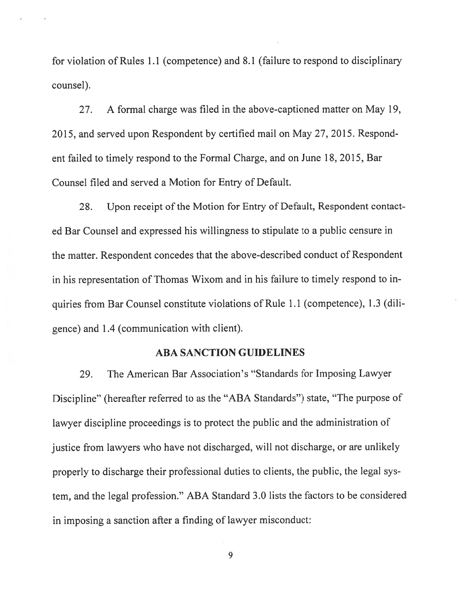for violation of Rules 1.1 (competence) and 8.1 (failure to respond to disciplinary counsel).

27. A formal charge was filed in the above-captioned matter on May 19, 2015, and served upon Respondent by certified mail on May 27, 2015. Respond ent failed to timely respond to the formal Charge, and on June 18, 2015, Bar Counsel filed and served a Motion for Entry of Default.

2\$. Upon receipt of the Motion for Entry of Default, Respondent contact ed Bar Counsel and expressed his willingness to stipulate to a public censure in the matter. Respondent concedes that the above-described conduct of Respondent in his representation of Thomas Wixom and in his failure to timely respond to in quiries from Bar Counsel constitute violations of Rule 1.1 (competence), 1.3 (dili gence) and 1.4 (communication with client).

### ABA SANCTION GUIDELINES

29. The American Bar Association's "Standards for Imposing Lawyer Discipline" (hereafter referred to as the "ABA Standards") state, "The purpose of lawyer discipline proceedings is to protect the public and the administration of justice from lawyers who have not discharged, will not discharge, or are unlikely properly to discharge their professional duties to clients, the public, the legal sys tem, and the legal profession." ABA Standard 3.0 lists the factors to be considered in imposing a sanction after a finding of lawyer misconduct: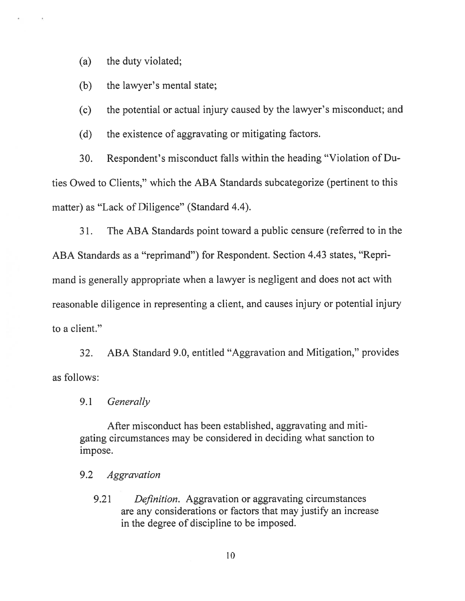(a) the duty violated;

(b) the lawyer's mental state;

(c) the potential or actual injury caused by the lawyer's misconduct; and

(d) the existence of aggravating or mitigating factors.

30. Respondent's misconduct falls within the heading "Violation of Du ties Owed to Clients," which the ABA Standards subcategorize (pertinent to this matter) as "Lack of Diligence" (Standard 4.4).

31. The ABA Standards point toward a public censure (referred to in the ABA Standards as a "reprimand") for Respondent. Section 4.43 states, "Repri mand is generally appropriate when a lawyer is negligent and does not act with reasonable diligence in representing a client, and causes injury or potential injury to a client."

32. ABA Standard 9.0, entitled "Aggravation and Mitigation," provides as follows:

9.1 Generally

After misconduct has been established, aggravating and miti gating circumstances may be considered in deciding what sanction to impose.

9.2 Aggravation

9.21 Definition. Aggravation or aggravating circumstances are any considerations or factors that may justify an increase in the degree of discipline to be imposed.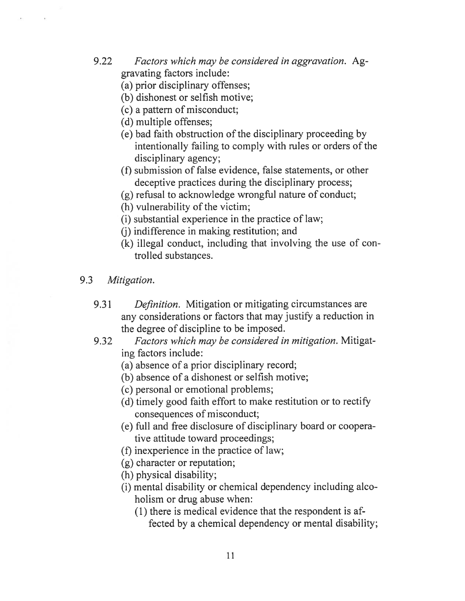- 9.22 Factors which may be considered in aggravation. Aggravating factors include:
	- (a) prior disciplinary offenses;
	- (b) dishonest or selfish motive;
	- (c) a pattern of misconduct;
	- (d) multiple offenses;
	- (e) bad faith obstruction of the disciplinary proceeding by intentionally failing to comply with rules or orders of the disciplinary agency;
	- (f) submission of false evidence, false statements, or other deceptive practices during the disciplinary process;
	- (g) refusal to acknowledge wrongful nature of conduct;
	- (h) vulnerability of the victim;
	- (i) substantial experience in the practice of law;
	- (j) indifference in making restitution; and
	- (k) illegal conduct, including that involving the use of con trolled substances.
- 9.3 Mitigation.
	- 9.31 Definition. Mitigation or mitigating circumstances are any considerations or factors that may justify a reduction in the degree of discipline to be imposed.
	- 9.32 Factors which may be considered in mitigation. Mitigating factors include:
		- (a) absence of a prior disciplinary record;
		- (b) absence of a dishonest or selfish motive;
		- (c) personal or emotional problems;
		- (d) timely good faith effort to make restitution or to rectify consequences of misconduct;
		- (e) full and free disclosure of disciplinary board or coopera tive attitude toward proceedings;
		- (f) inexperience in the practice of law;
		- (g) character or reputation;
		- (h) physical disability;
		- (1) mental disability or chemical dependency including alco holism or drug abuse when:
			- (1) there is medical evidence that the respondent is af fected by a chemical dependency or mental disability;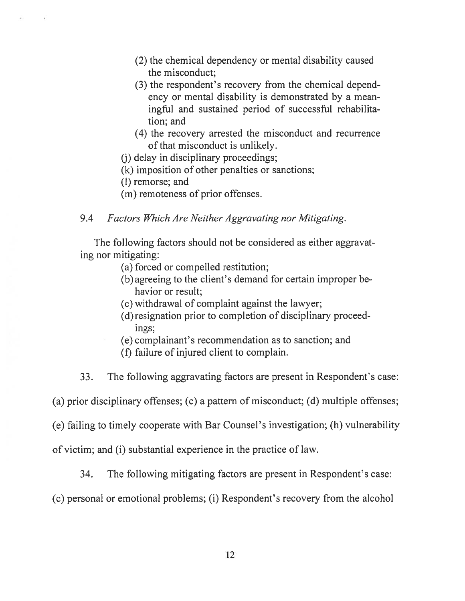- (2) the chemical dependency or mental disability caused the misconduct;
- (3) the respondent's recovery from the chemical depend ency or mental disability is demonstrated by a mean ingful and sustained period of successful rehabilita tion; and
- (4) the recovery arrested the misconduct and recurrence of that misconduct is unlikely.
- (j) delay in disciplinary proceedings;
- (k) imposition of other penalties or sanctions;
- (1) remorse; and
- (m) remoteness of prior offenses.
- 9.4 Factors Which Are Neither Aggravating nor Mitigating.

The following factors should not be considered as either aggravat ing nor mitigating:

- (a) forced or compelled restitution;
- (b) agreeing to the client's demand for certain improper be havior or result;
- (c) withdrawal of complaint against the lawyer;
- (d)resignation prior to completion of disciplinary proceed ings;
- (e) complainant's recommendation as to sanction; and
- (f) failure of injured client to complain.
- 33. The following aggravating factors are present in Respondent's case:

(a) prior disciplinary offenses; (c) a pattern of misconduct; (d) multiple offenses;

(e) failing to timely cooperate with Bar Counsel's investigation; (h) vulnerability

of victim; and (1) substantial experience in the practice of law.

34. The following mitigating factors are present in Respondent's case:

(c) personal or emotional problems; (i) Respondent's recovery from the alcohol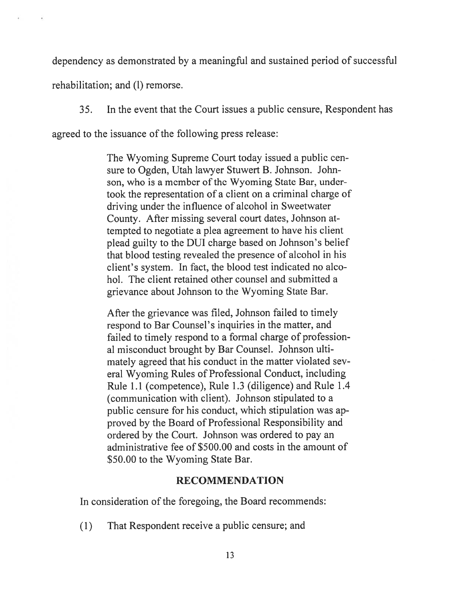dependency as demonstrated by a meaningful and sustained period of successful

rehabilitation; and (I) remorse.

35. In the event that the Court issues a public censure, Respondent has

agreed to the issuance of the following press release:

The Wyoming Supreme Court today issued a public cen sure to Ogden, Utah lawyer Stuwert B. Johnson. John son, who is a member of the Wyoming State Bar, undertook the representation of a client on a criminal charge of driving under the influence of alcohol in Sweetwater County. After missing several court dates, Johnson at tempted to negotiate a plea agreement to have his client plead guilty to the DUI charge based on Johnson's belief that blood testing revealed the presence of alcohol in his client's system. In fact, the blood test indicated no alco hol. The client retained other counsel and submitted a grievance about Johnson to the Wyoming State Bar.

After the grievance was filed, Johnson failed to timely respond to Bar Counsel's inquiries in the matter, and failed to timely respond to a formal charge of profession al misconduct brought by Bar Counsel. Johnson ulti mately agreed that his conduct in the matter violated sev eral Wyoming Rules of Professional Conduct, including Rule 1.1 (competence), Rule 1.3 (diligence) and Rule 1.4 (communication with client). Johnson stipulated to a public censure for his conduct, which stipulation was ap proved by the Board of Professional Responsibility and ordered by the Court. Johnson was ordered to pay an administrative fee of \$500.00 and costs in the amount of \$50.00 to the Wyoming State Bar.

### RECOMMENDATION

In consideration of the foregoing, the Board recommends:

(1) That Respondent receive a public censure; and